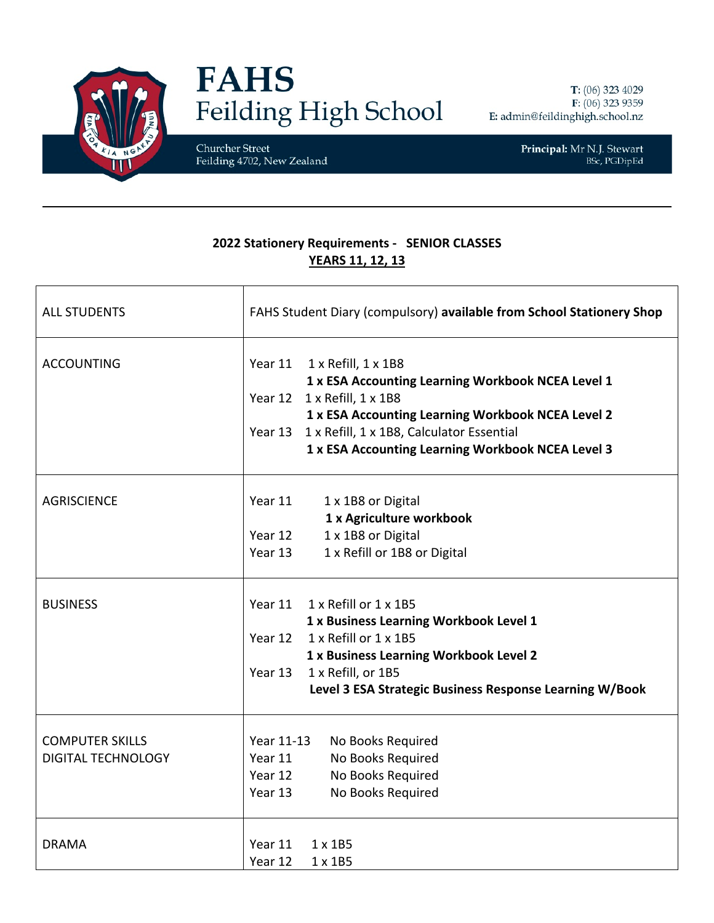

## **FAHS** Feilding High School

Churcher Street Feilding 4702, New Zealand

Principal: Mr N.J. Stewart BSc, PGDipEd

## **2022 Stationery Requirements - SENIOR CLASSES YEARS 11, 12, 13**

| <b>ALL STUDENTS</b>       | FAHS Student Diary (compulsory) available from School Stationery Shop               |
|---------------------------|-------------------------------------------------------------------------------------|
| <b>ACCOUNTING</b>         | Year 11<br>1 x Refill, 1 x 1B8<br>1 x ESA Accounting Learning Workbook NCEA Level 1 |
|                           | Year 12 1 x Refill, 1 x 1B8                                                         |
|                           | 1 x ESA Accounting Learning Workbook NCEA Level 2                                   |
|                           | 1 x Refill, 1 x 1B8, Calculator Essential<br>Year 13                                |
|                           | 1 x ESA Accounting Learning Workbook NCEA Level 3                                   |
| <b>AGRISCIENCE</b>        | Year 11<br>1 x 1B8 or Digital                                                       |
|                           | 1 x Agriculture workbook                                                            |
|                           | 1 x 1B8 or Digital<br>Year 12                                                       |
|                           | 1 x Refill or 1B8 or Digital<br>Year 13                                             |
| <b>BUSINESS</b>           | Year 11<br>1 x Refill or 1 x 1B5                                                    |
|                           | 1 x Business Learning Workbook Level 1                                              |
|                           | 1 x Refill or 1 x 1B5<br>Year 12                                                    |
|                           | 1 x Business Learning Workbook Level 2                                              |
|                           | Year 13<br>1 x Refill, or 1B5                                                       |
|                           | Level 3 ESA Strategic Business Response Learning W/Book                             |
| <b>COMPUTER SKILLS</b>    | Year 11-13<br>No Books Required                                                     |
| <b>DIGITAL TECHNOLOGY</b> | Year 11<br>No Books Required                                                        |
|                           | Year 12<br>No Books Required                                                        |
|                           | Year 13<br>No Books Required                                                        |
|                           | $1 \times 1B5$                                                                      |
| <b>DRAMA</b>              | Year 11<br>Year 12<br>$1 \times 1B5$                                                |
|                           |                                                                                     |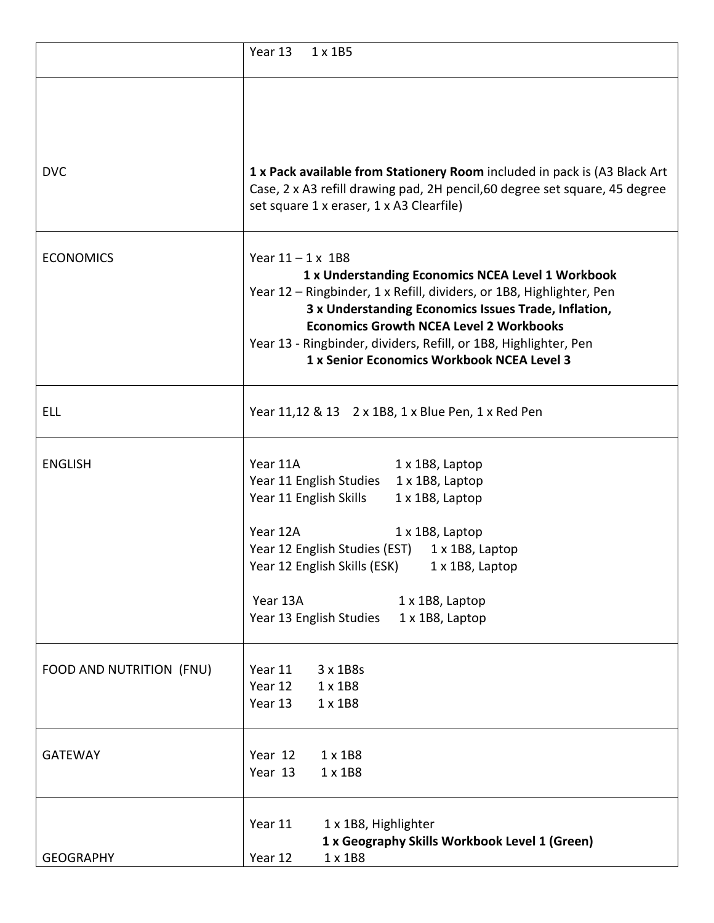|                          | Year 13<br>$1 \times 1B5$                                                                                                                                                                                                                                                                                                                                                         |
|--------------------------|-----------------------------------------------------------------------------------------------------------------------------------------------------------------------------------------------------------------------------------------------------------------------------------------------------------------------------------------------------------------------------------|
| <b>DVC</b>               | 1 x Pack available from Stationery Room included in pack is (A3 Black Art<br>Case, 2 x A3 refill drawing pad, 2H pencil, 60 degree set square, 45 degree<br>set square 1 x eraser, 1 x A3 Clearfile)                                                                                                                                                                              |
| <b>ECONOMICS</b>         | Year $11 - 1 \times 1B8$<br>1 x Understanding Economics NCEA Level 1 Workbook<br>Year 12 - Ringbinder, 1 x Refill, dividers, or 1B8, Highlighter, Pen<br>3 x Understanding Economics Issues Trade, Inflation,<br><b>Economics Growth NCEA Level 2 Workbooks</b><br>Year 13 - Ringbinder, dividers, Refill, or 1B8, Highlighter, Pen<br>1 x Senior Economics Workbook NCEA Level 3 |
| ELL                      | Year 11,12 & 13 2 x 1B8, 1 x Blue Pen, 1 x Red Pen                                                                                                                                                                                                                                                                                                                                |
| <b>ENGLISH</b>           | Year 11A<br>1 x 1B8, Laptop<br>Year 11 English Studies<br>1 x 1B8, Laptop<br>Year 11 English Skills<br>1 x 1B8, Laptop<br>Year 12A<br>1 x 1B8, Laptop<br>Year 12 English Studies (EST)<br>1 x 1B8, Laptop<br>Year 12 English Skills (ESK) 1 x 1B8, Laptop<br>Year 13A<br>1 x 1B8, Laptop<br>Year 13 English Studies<br>1 x 1B8, Laptop                                            |
| FOOD AND NUTRITION (FNU) | Year 11<br>3 x 1B8s<br>Year 12<br>$1 \times 1B8$<br>Year 13<br>$1 \times 1B8$                                                                                                                                                                                                                                                                                                     |
| <b>GATEWAY</b>           | Year 12<br>$1 \times 1B8$<br>Year 13<br>1 x 1B8                                                                                                                                                                                                                                                                                                                                   |
| <b>GEOGRAPHY</b>         | Year 11<br>1 x 1B8, Highlighter<br>1 x Geography Skills Workbook Level 1 (Green)<br>Year 12<br>1 x 1B8                                                                                                                                                                                                                                                                            |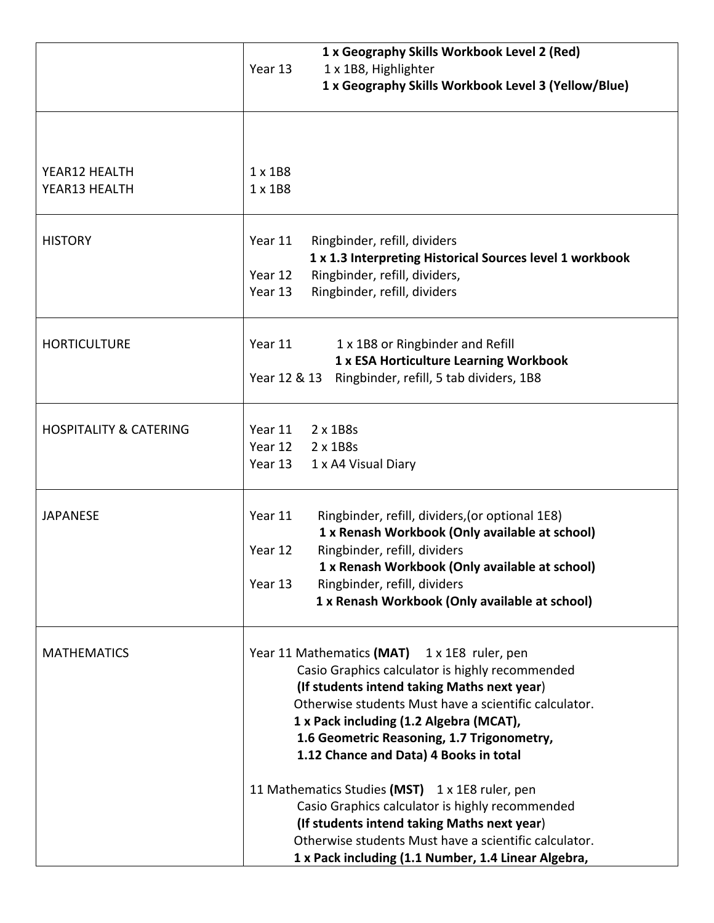|                                   | 1 x Geography Skills Workbook Level 2 (Red)<br>Year 13<br>1 x 1B8, Highlighter                                                                                                                                                                                                                                                                                                                                                                                                                                                                                                                                  |
|-----------------------------------|-----------------------------------------------------------------------------------------------------------------------------------------------------------------------------------------------------------------------------------------------------------------------------------------------------------------------------------------------------------------------------------------------------------------------------------------------------------------------------------------------------------------------------------------------------------------------------------------------------------------|
|                                   | 1 x Geography Skills Workbook Level 3 (Yellow/Blue)                                                                                                                                                                                                                                                                                                                                                                                                                                                                                                                                                             |
| YEAR12 HEALTH<br>YEAR13 HEALTH    | $1 \times 1B8$<br>$1 \times 1B8$                                                                                                                                                                                                                                                                                                                                                                                                                                                                                                                                                                                |
| <b>HISTORY</b>                    | Year 11<br>Ringbinder, refill, dividers<br>1 x 1.3 Interpreting Historical Sources level 1 workbook<br>Ringbinder, refill, dividers,<br>Year 12<br>Ringbinder, refill, dividers<br>Year 13                                                                                                                                                                                                                                                                                                                                                                                                                      |
| <b>HORTICULTURE</b>               | Year 11<br>1 x 1B8 or Ringbinder and Refill<br>1 x ESA Horticulture Learning Workbook<br>Ringbinder, refill, 5 tab dividers, 1B8<br>Year 12 & 13                                                                                                                                                                                                                                                                                                                                                                                                                                                                |
| <b>HOSPITALITY &amp; CATERING</b> | Year 11<br>2 x 1B8s<br>Year 12<br>2 x 1B8s<br>Year 13<br>1 x A4 Visual Diary                                                                                                                                                                                                                                                                                                                                                                                                                                                                                                                                    |
| <b>JAPANESE</b>                   | Year 11<br>Ringbinder, refill, dividers, (or optional 1E8)<br>1 x Renash Workbook (Only available at school)<br>Ringbinder, refill, dividers<br>Year 12<br>1 x Renash Workbook (Only available at school)<br>Year 13<br>Ringbinder, refill, dividers<br>1 x Renash Workbook (Only available at school)                                                                                                                                                                                                                                                                                                          |
| <b>MATHEMATICS</b>                | Year 11 Mathematics (MAT) 1 x 1E8 ruler, pen<br>Casio Graphics calculator is highly recommended<br>(If students intend taking Maths next year)<br>Otherwise students Must have a scientific calculator.<br>1 x Pack including (1.2 Algebra (MCAT),<br>1.6 Geometric Reasoning, 1.7 Trigonometry,<br>1.12 Chance and Data) 4 Books in total<br>11 Mathematics Studies (MST) 1 x 1E8 ruler, pen<br>Casio Graphics calculator is highly recommended<br>(If students intend taking Maths next year)<br>Otherwise students Must have a scientific calculator.<br>1 x Pack including (1.1 Number, 1.4 Linear Algebra, |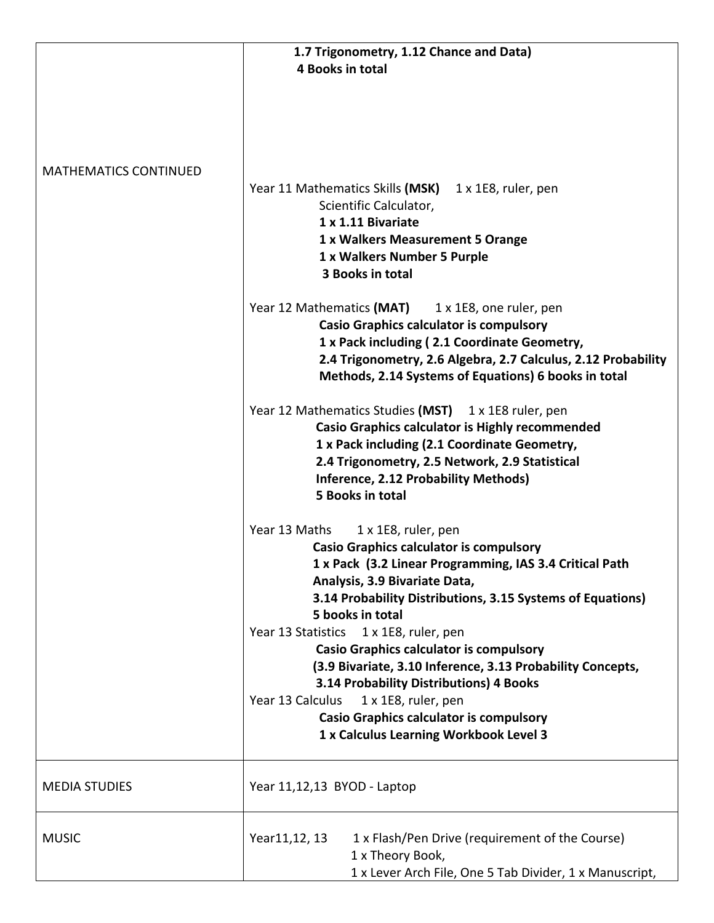|                              | 1.7 Trigonometry, 1.12 Chance and Data)                          |
|------------------------------|------------------------------------------------------------------|
|                              | 4 Books in total                                                 |
|                              |                                                                  |
|                              |                                                                  |
|                              |                                                                  |
|                              |                                                                  |
|                              |                                                                  |
| <b>MATHEMATICS CONTINUED</b> |                                                                  |
|                              | Year 11 Mathematics Skills (MSK)<br>$1 \times 1E8$ , ruler, pen  |
|                              | Scientific Calculator,                                           |
|                              | 1 x 1.11 Bivariate                                               |
|                              | 1 x Walkers Measurement 5 Orange                                 |
|                              | 1 x Walkers Number 5 Purple                                      |
|                              | 3 Books in total                                                 |
|                              | Year 12 Mathematics (MAT)<br>1 x 1E8, one ruler, pen             |
|                              | <b>Casio Graphics calculator is compulsory</b>                   |
|                              | 1 x Pack including (2.1 Coordinate Geometry,                     |
|                              | 2.4 Trigonometry, 2.6 Algebra, 2.7 Calculus, 2.12 Probability    |
|                              | Methods, 2.14 Systems of Equations) 6 books in total             |
|                              |                                                                  |
|                              | Year 12 Mathematics Studies (MST) 1 x 1E8 ruler, pen             |
|                              | <b>Casio Graphics calculator is Highly recommended</b>           |
|                              | 1 x Pack including (2.1 Coordinate Geometry,                     |
|                              | 2.4 Trigonometry, 2.5 Network, 2.9 Statistical                   |
|                              | <b>Inference, 2.12 Probability Methods)</b>                      |
|                              | 5 Books in total                                                 |
|                              |                                                                  |
|                              | 1 x 1E8, ruler, pen<br>Year 13 Maths                             |
|                              | <b>Casio Graphics calculator is compulsory</b>                   |
|                              | 1 x Pack (3.2 Linear Programming, IAS 3.4 Critical Path          |
|                              | Analysis, 3.9 Bivariate Data,                                    |
|                              | 3.14 Probability Distributions, 3.15 Systems of Equations)       |
|                              | 5 books in total                                                 |
|                              | Year 13 Statistics<br>1 x 1E8, ruler, pen                        |
|                              | <b>Casio Graphics calculator is compulsory</b>                   |
|                              | (3.9 Bivariate, 3.10 Inference, 3.13 Probability Concepts,       |
|                              | 3.14 Probability Distributions) 4 Books                          |
|                              | Year 13 Calculus<br>1 x 1E8, ruler, pen                          |
|                              | <b>Casio Graphics calculator is compulsory</b>                   |
|                              | 1 x Calculus Learning Workbook Level 3                           |
|                              |                                                                  |
| <b>MEDIA STUDIES</b>         | Year 11,12,13 BYOD - Laptop                                      |
|                              |                                                                  |
| <b>MUSIC</b>                 | 1 x Flash/Pen Drive (requirement of the Course)<br>Year11,12, 13 |
|                              | 1 x Theory Book,                                                 |
|                              | 1 x Lever Arch File, One 5 Tab Divider, 1 x Manuscript,          |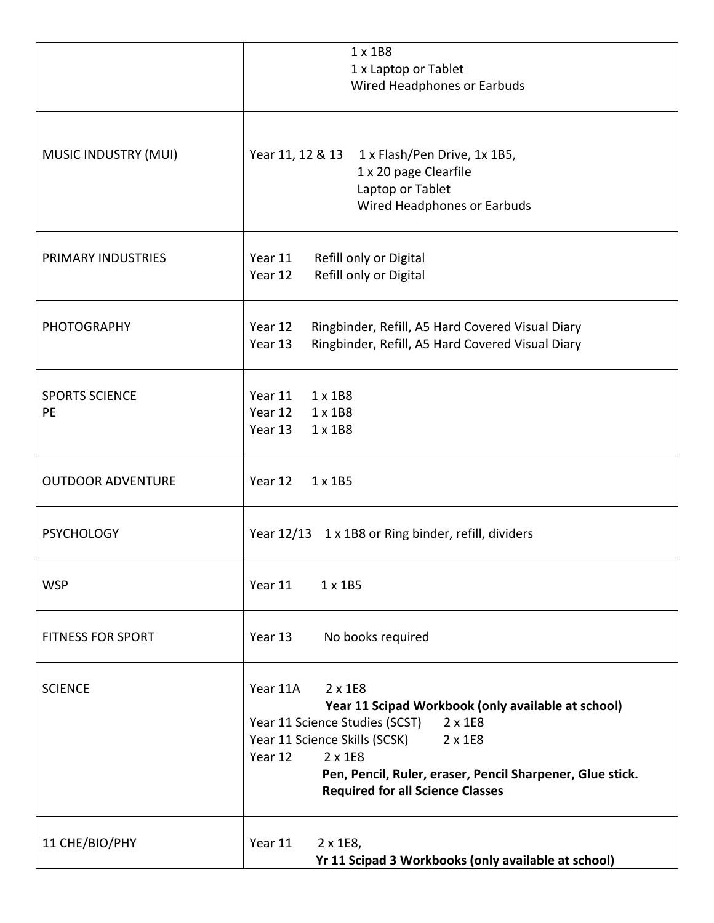|                             | 1 x 1B8<br>1 x Laptop or Tablet<br>Wired Headphones or Earbuds                                                                                                                                                                                                                                          |
|-----------------------------|---------------------------------------------------------------------------------------------------------------------------------------------------------------------------------------------------------------------------------------------------------------------------------------------------------|
| MUSIC INDUSTRY (MUI)        | Year 11, 12 & 13<br>1 x Flash/Pen Drive, 1x 1B5,<br>1 x 20 page Clearfile<br>Laptop or Tablet<br>Wired Headphones or Earbuds                                                                                                                                                                            |
| PRIMARY INDUSTRIES          | Year 11<br>Refill only or Digital<br>Refill only or Digital<br>Year 12                                                                                                                                                                                                                                  |
| <b>PHOTOGRAPHY</b>          | Year 12<br>Ringbinder, Refill, A5 Hard Covered Visual Diary<br>Ringbinder, Refill, A5 Hard Covered Visual Diary<br>Year 13                                                                                                                                                                              |
| <b>SPORTS SCIENCE</b><br>PE | Year 11<br>1 x 1B8<br>Year 12<br>1 x 1B8<br>Year 13<br>$1 \times 1B8$                                                                                                                                                                                                                                   |
| <b>OUTDOOR ADVENTURE</b>    | Year 12<br>$1 \times 1B5$                                                                                                                                                                                                                                                                               |
| <b>PSYCHOLOGY</b>           | Year 12/13 1 x 1B8 or Ring binder, refill, dividers                                                                                                                                                                                                                                                     |
| <b>WSP</b>                  | Year 11<br>$1 \times 1B5$                                                                                                                                                                                                                                                                               |
| <b>FITNESS FOR SPORT</b>    | No books required<br>Year 13                                                                                                                                                                                                                                                                            |
| <b>SCIENCE</b>              | Year 11A<br>2 x 1E8<br>Year 11 Scipad Workbook (only available at school)<br>Year 11 Science Studies (SCST)<br>$2 \times 1E8$<br>Year 11 Science Skills (SCSK)<br>2 x 1E8<br>Year 12<br>2 x 1E8<br>Pen, Pencil, Ruler, eraser, Pencil Sharpener, Glue stick.<br><b>Required for all Science Classes</b> |
| 11 CHE/BIO/PHY              | Year 11<br>2 x 1E8,<br>Yr 11 Scipad 3 Workbooks (only available at school)                                                                                                                                                                                                                              |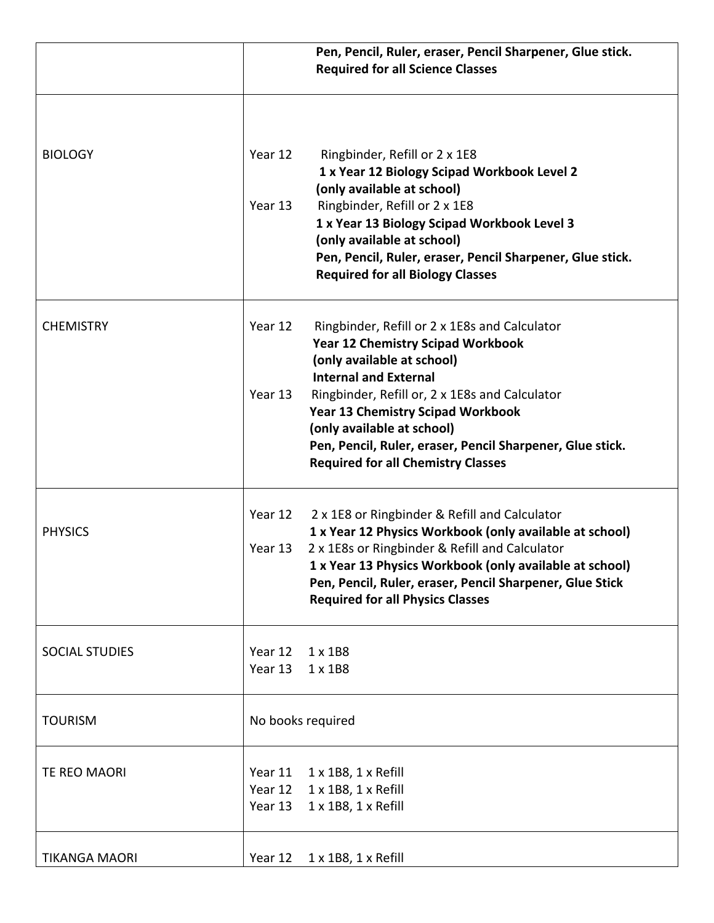| Year 12<br>Ringbinder, Refill or 2 x 1E8<br>1 x Year 12 Biology Scipad Workbook Level 2<br>(only available at school)                                              |
|--------------------------------------------------------------------------------------------------------------------------------------------------------------------|
| Ringbinder, Refill or 2 x 1E8<br>Year 13                                                                                                                           |
| 1 x Year 13 Biology Scipad Workbook Level 3<br>(only available at school)                                                                                          |
| Pen, Pencil, Ruler, eraser, Pencil Sharpener, Glue stick.<br><b>Required for all Biology Classes</b>                                                               |
| Year 12<br>Ringbinder, Refill or 2 x 1E8s and Calculator<br><b>Year 12 Chemistry Scipad Workbook</b><br>(only available at school)<br><b>Internal and External</b> |
| Year 13<br>Ringbinder, Refill or, 2 x 1E8s and Calculator                                                                                                          |
| <b>Year 13 Chemistry Scipad Workbook</b><br>(only available at school)                                                                                             |
| Pen, Pencil, Ruler, eraser, Pencil Sharpener, Glue stick.<br><b>Required for all Chemistry Classes</b>                                                             |
| 2 x 1E8 or Ringbinder & Refill and Calculator<br>Year 12                                                                                                           |
| 1 x Year 12 Physics Workbook (only available at school)<br>2 x 1E8s or Ringbinder & Refill and Calculator<br>Year 13                                               |
| 1 x Year 13 Physics Workbook (only available at school)                                                                                                            |
| Pen, Pencil, Ruler, eraser, Pencil Sharpener, Glue Stick<br><b>Required for all Physics Classes</b>                                                                |
| Year 12<br>$1 \times 1B8$                                                                                                                                          |
| Year 13<br>$1 \times 1B8$                                                                                                                                          |
| No books required                                                                                                                                                  |
| Year 11<br>$1 \times 1B8$ , $1 \times$ Refill                                                                                                                      |
| 1 x 1B8, 1 x Refill<br>Year 12                                                                                                                                     |
| 1 x 1B8, 1 x Refill<br>Year 13                                                                                                                                     |
| Year 12<br>$1 \times 1B8$ , $1 \times$ Refill                                                                                                                      |
|                                                                                                                                                                    |